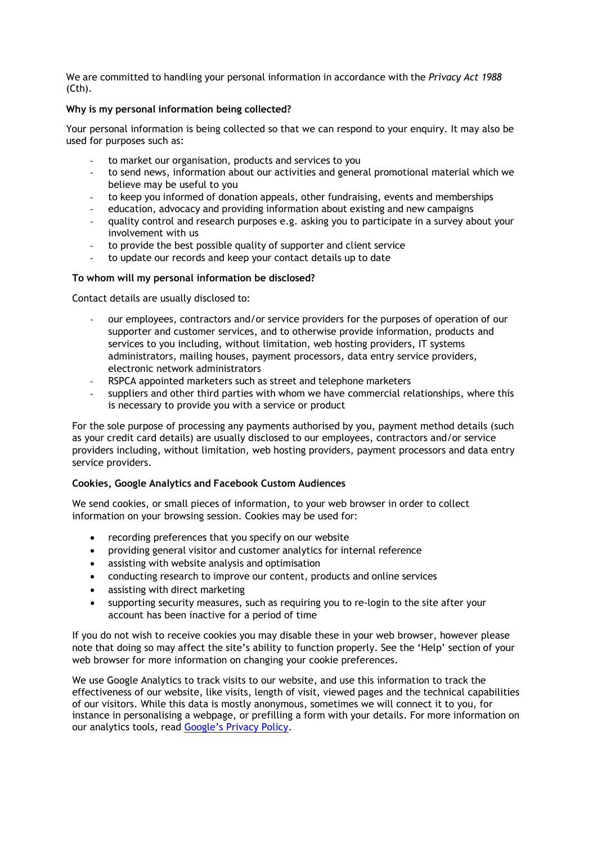We are committed to handling your personal information in accordance with the *Privacy Act 1988* (Cth).

## **Why is my personal information being collected?**

Your personal information is being collected so that we can respond to your enquiry. It may also be used for purposes such as:

- to market our organisation, products and services to you
- to send news, information about our activities and general promotional material which we believe may be useful to you
- to keep you informed of donation appeals, other fundraising, events and memberships
- education, advocacy and providing information about existing and new campaigns
- quality control and research purposes e.g. asking you to participate in a survey about your involvement with us
- to provide the best possible quality of supporter and client service
- to update our records and keep your contact details up to date

## **To whom will my personal information be disclosed?**

Contact details are usually disclosed to:

- our employees, contractors and/or service providers for the purposes of operation of our supporter and customer services, and to otherwise provide information, products and services to you including, without limitation, web hosting providers, IT systems administrators, mailing houses, payment processors, data entry service providers, electronic network administrators
- RSPCA appointed marketers such as street and telephone marketers
- suppliers and other third parties with whom we have commercial relationships, where this is necessary to provide you with a service or product

For the sole purpose of processing any payments authorised by you, payment method details (such as your credit card details) are usually disclosed to our employees, contractors and/or service providers including, without limitation, web hosting providers, payment processors and data entry service providers.

## **Cookies, Google Analytics and Facebook Custom Audiences**

We send cookies, or small pieces of information, to your web browser in order to collect information on your browsing session. Cookies may be used for:

- recording preferences that you specify on our website
- providing general visitor and customer analytics for internal reference
- assisting with website analysis and optimisation
- conducting research to improve our content, products and online services
- assisting with direct marketing
- supporting security measures, such as requiring you to re-login to the site after your account has been inactive for a period of time

If you do not wish to receive cookies you may disable these in your web browser, however please note that doing so may affect the site's ability to function properly. See the 'Help' section of your web browser for more information on changing your cookie preferences.

We use Google Analytics to track visits to our website, and use this information to track the effectiveness of our website, like visits, length of visit, viewed pages and the technical capabilities of our visitors. While this data is mostly anonymous, sometimes we will connect it to you, for instance in personalising a webpage, or prefilling a form with your details. For more information on our analytics tools, read [Google's Privacy Policy](http://www.google.com/policies/privacy/).